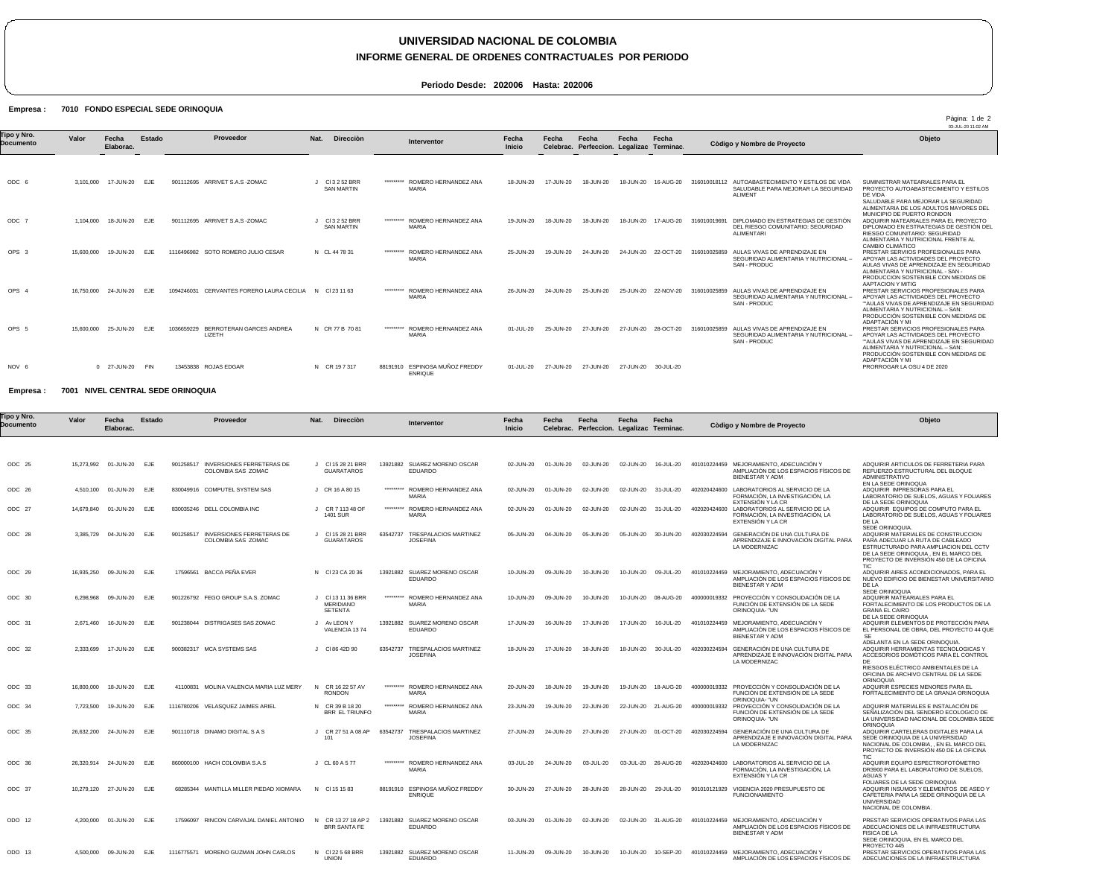## **UNIVERSIDAD NACIONAL DE COLOMBIA**

### **INFORME GENERAL DE ORDENES CONTRACTUALES POR PERIODO**

**Periodo Desde: 202006 Hasta: 202006**

#### Empresa : 7010 FONDO ESPECIAL SEDE ORINOQUIA

|                          |            |                    |            |                                                            |                                    |           |                                         |                        |                    |                                          |                     |                      |                                                                                                               | Pàgina: 1 de 2<br>03-JUL-20 11:02 AM                                                                                                                                                                                      |
|--------------------------|------------|--------------------|------------|------------------------------------------------------------|------------------------------------|-----------|-----------------------------------------|------------------------|--------------------|------------------------------------------|---------------------|----------------------|---------------------------------------------------------------------------------------------------------------|---------------------------------------------------------------------------------------------------------------------------------------------------------------------------------------------------------------------------|
| Tipo y Nro.<br>Documento | Valor      | Fecha<br>Elaborac. | Estado     | Proveedor                                                  | Nat.<br><b>Dirección</b>           |           | Interventor                             | Fecha<br><b>Inicio</b> | Fecha<br>Celebrac. | Fecha<br>Perfeccion. Legalizac Terminac. | Fecha               | Fecha                | Còdigo y Nombre de Proyecto                                                                                   | Objeto                                                                                                                                                                                                                    |
|                          |            |                    |            |                                                            |                                    |           |                                         |                        |                    |                                          |                     |                      |                                                                                                               |                                                                                                                                                                                                                           |
| ODC 6                    | 3.101.000  | 17-JUN-20 EJE      |            | ARRIVET S.A.S -ZOMAC<br>901112695                          | CI 3 2 52 BRR<br><b>SAN MARTIN</b> | ********* | ROMERO HERNANDEZ ANA<br><b>MARIA</b>    | 18-JUN-20              | 17-JUN-20          | 18-JUN-20                                | 18-JUN-20           | 16-AUG-20            | AUTOABASTECIMIENTO Y ESTILOS DE VIDA<br>316010018112<br>SALUDABLE PARA MEJORAR LA SEGURIDAD<br><b>ALIMENT</b> | SUMINISTRAR MATEARIALES PARA EL<br>PROYECTO AUTOABASTECIMIENTO Y ESTILOS<br>DE VIDA<br>SALUDABLE PARA MEJORAR LA SEGURIDAD<br>ALIMENTARIA DE LOS ADULTOS MAYORES DEL<br>MUNICIPIO DE PUERTO RONDON                        |
| ODC <sub>7</sub>         | 1.104.000  | 18-JUN-20          | <b>EJE</b> | 901112695 ARRIVET S.A.S - ZOMAC                            | CI 3 2 52 BRR<br><b>SAN MARTIN</b> | ********* | ROMERO HERNANDEZ ANA<br><b>MARIA</b>    | 19-JUN-20              | 18-JUN-20          | 18-JUN-20                                |                     | 18-JUN-20  17-AUG-20 | DIPLOMADO EN ESTRATEGIAS DE GESTIÓN<br>316010019691<br>DEL RIESGO COMUNITARIO: SEGURIDAD<br><b>ALIMENTARI</b> | ADQUIRIR MATEARIALES PARA EL PROYECTO<br>DIPLOMADO EN ESTRATEGIAS DE GESTIÓN DEL<br>RIESGO COMUNITARIO: SEGURIDAD<br>ALIMENTARIA Y NUTRICIONAL FRENTE AL<br><b>CAMBIO CLIMÁTICO</b>                                       |
| OPS <sub>3</sub>         | 15,600,000 | 19-JUN-20          | EJE        | SOTO ROMERO JULIO CESAR<br>1116496982                      | N CL 44 78 31                      | ********* | ROMERO HERNANDEZ ANA<br><b>MARIA</b>    | 25-JUN-20              | 19-JUN-20          | 24-JUN-20                                | 24-JUN-20           | 22-OCT-20            | AULAS VIVAS DE APRENDIZAJE EN<br>316010025859<br>SEGURIDAD ALIMENTARIA Y NUTRICIONAL -<br>SAN - PRODUC        | PRESTAR SERVIIOS PROFESIONALES PARA<br>APOYAR LAS ACTIVIDADES DEL PROYECTO<br>AULAS VIVAS DE APRENDIZAJE EN SEGURIDAD<br>ALIMENTARIA Y NUTRICIONAL - SAN -<br>PRODUCCION SOSTENIBLE CON MEDIDAS DE                        |
| OPS <sub>4</sub>         | 16.750.000 | 24-JUN-20          | <b>EJE</b> | CERVANTES FORERO LAURA CECILIA N CI 23 11 63<br>1094246031 |                                    | ********* | ROMERO HERNANDEZ ANA<br><b>MARIA</b>    | 26-JUN-20              | 24-JUN-20          | 25-JUN-20                                | 25-JUN-20 22-NOV-20 |                      | AULAS VIVAS DE APRENDIZAJE EN<br>316010025859<br>SEGURIDAD ALIMENTARIA Y NUTRICIONAL<br>SAN - PRODUC          | AAPTACION Y MITIG<br>PRESTAR SERVICIOS PROFESIONALES PARA<br>APOYAR LAS ACTIVIDADES DEL PROYECTO<br>""AULAS VIVAS DE APRENDIZAJE EN SEGURIDAD<br>ALIMENTARIA Y NUTRICIONAL - SAN:<br>PRODUCCIÓN SOSTENIBLE CON MEDIDAS DE |
| OPS 5                    | 15,600,000 | 25-JUN-20          | <b>EJE</b> | BERROTERAN GARCES ANDREA<br>1036659229<br>LIZETH           | N CR 77 B 70 81                    | ********* | ROMERO HERNANDEZ ANA<br>MARIA           | 01-JUL-20              | 25-JUN-20          | 27-JUN-20                                | 27-JUN-20 28-OCT-20 |                      | AULAS VIVAS DE APRENDIZAJE EN<br>316010025859<br>SEGURIDAD ALIMENTARIA Y NUTRICIONAL -<br>SAN - PRODUC        | ADAPTACIÓN Y MI<br>PRESTAR SERVICIOS PROFESIONALES PARA<br>APOYAR LAS ACTIVIDADES DEL PROYECTO<br>""AULAS VIVAS DE APRENDIZAJE EN SEGURIDAD<br>ALIMENTARIA Y NUTRICIONAL - SAN:<br>PRODUCCIÓN SOSTENIBLE CON MEDIDAS DE   |
| NOV 6                    |            | 0 27-JUN-20        | FIN        | 13453838 ROJAS EDGAR                                       | N CR 19 7 317                      | 88191910  | ESPINOSA MUÑOZ FREDDY<br><b>ENRIQUE</b> | 01-JUL-20              | 27-JUN-20          | 27-JUN-20                                | 27-JUN-20           | 30-JUL-20            |                                                                                                               | ADAPTACIÓN Y MI<br>PRORROGAR LA OSU 4 DE 2020                                                                                                                                                                             |

#### Empresa : 7001 NIVEL CENTRAL SEDE ORINOQUIA

| ϊpo y Nro.<br>Documento | Valor      | Fecha<br>Elaborac.       | Estado     | Proveedor                                                           | Nat.<br><b>Dirección</b>                              |           | Interventor                                      | Fecha<br><b>Inicio</b> | Fecha     | Fecha<br>Celebrac. Perfeccion. Legalizac Terminac. | Fecha     | Fecha               | Còdigo y Nombre de Proyecto                                                                            | Objeto                                                                                                                                                                                                                           |
|-------------------------|------------|--------------------------|------------|---------------------------------------------------------------------|-------------------------------------------------------|-----------|--------------------------------------------------|------------------------|-----------|----------------------------------------------------|-----------|---------------------|--------------------------------------------------------------------------------------------------------|----------------------------------------------------------------------------------------------------------------------------------------------------------------------------------------------------------------------------------|
|                         |            |                          |            |                                                                     |                                                       |           |                                                  |                        |           |                                                    |           |                     |                                                                                                        |                                                                                                                                                                                                                                  |
| ODC 25                  | 15,273,992 | 01-JUN-20                | EJE        | 901258517<br><b>INVERSIONES FERRETERAS DE</b><br>COLOMBIA SAS ZOMAC | CI 15 28 21 BRR<br><b>GUARATAROS</b>                  |           | 13921882 SUAREZ MORENO OSCAR<br><b>EDUARDO</b>   | 02-JUN-20              | 01-JUN-20 | 02-JUN-20                                          | 02-JUN-20 | 16-JUL-20           | 401010224459 MEJORAMIENTO, ADECUACIÓN Y<br>AMPLIACIÓN DE LOS ESPACIOS FÍSICOS DE<br>BIENESTAR Y ADM    | ADQUIRIR ARTICULOS DE FERRETERIA PARA<br>REFUERZO ESTRUCTURAL DEL BLOQUE<br>ADMINISTRATIVO                                                                                                                                       |
| ODC 26                  | 4.510.100  | 01-JUN-20                | EJE        | 830049916 COMPUTEL SYSTEM SAS                                       | J CR 16 A 80 15                                       |           | ********* ROMERO HERNANDEZ ANA<br><b>MARIA</b>   | 02-JUN-20              | 01-JUN-20 | 02-JUN-20                                          | 02-JUN-20 | 31-JUL-20           | LABORATORIOS AL SERVICIO DE LA<br>402020424600<br>FORMACIÓN. LA INVESTIGACIÓN. LA<br>EXTENSIÓN Y LA CR | EN LA SEDE ORINOQUA<br>ADQUIRIR IMPRESORAS PARA EL<br>LABORATORIO DE SUELOS, AGUAS Y FOLIARES<br>DE LA SEDE ORINOQUIA                                                                                                            |
| ODC 27                  | 14,679,840 | 01-JUN-20                | EJE        | 830035246 DELL COLOMBIA INC                                         | J CR 7 113 48 OF<br>1401 SUR                          | ********* | ROMERO HERNANDEZ ANA<br><b>MARIA</b>             | 02-JUN-20              | 01-JUN-20 | 02-JUN-20                                          | 02-JUN-20 | 31-JUL-20           | LABORATORIOS AL SERVICIO DE LA<br>402020424600<br>FORMACIÓN, LA INVESTIGACIÓN, LA<br>EXTENSIÓN Y LA CR | ADQUIRIR EQUIPOS DE COMPUTO PARA EL<br>LABORATORIO DE SUELOS, AGUAS Y FOLIARES<br>DE LA                                                                                                                                          |
| ODC 28                  | 3,385,729  | 04-JUN-20                | EJE        | 901258517<br>INVERSIONES FERRETERAS DE<br>COLOMBIA SAS ZOMAC        | CI 15 28 21 BRR<br>$\cdot$ L<br><b>GUARATAROS</b>     | 63542737  | <b>TRESPALACIOS MARTINEZ</b><br><b>JOSEFINA</b>  | 05-JUN-20              | 04-JUN-20 | 05-JUN-20                                          | 05-JUN-20 | 30-JUN-20           | 402030224594 GENERACIÓN DE UNA CULTURA DE<br>APRENDIZAJE E INNOVACIÓN DIGITAL PARA<br>LA MODERNIZAC    | SEDE ORINOQUIA.<br>ADQUIRIR MATERIALES DE CONSTRUCCION<br>PARA ADECUAR LA RUTA DE CABLEADO<br>ESTRUCTURADO PARA AMPLIACION DEL CCTV<br>DE LA SEDE ORINOQUIA . EN EL MARCO DEL<br>PROYECTO DE INVERSIÓN 450 DE LA OFICINA<br>TIC. |
| ODC 29                  | 16,935,250 | 09-JUN-20                | <b>EJE</b> | 17596561 BACCA PEÑA EVER                                            | N CI 23 CA 20 36                                      |           | 13921882 SUAREZ MORENO OSCAR<br><b>EDUARDO</b>   | 10-JUN-20              | 09-JUN-20 | 10-JUN-20                                          | 10-JUN-20 | 09-JUL-20           | 401010224459 MEJORAMIENTO, ADECUACIÓN Y<br>AMPLIACIÓN DE LOS ESPACIOS FÍSICOS DE<br>BIENESTAR Y ADM    | ADQUIRIR AIRES ACONDICIONADOS, PARA EL<br>NUEVO EDIFICIO DE BIENESTAR UNIVERSITARIO<br>DE LA                                                                                                                                     |
| ODC 30                  | 6,298,968  | 09-JUN-20                | EJE        | 901226792 FEGO GROUP S.A.S. ZOMAC                                   | CI 13 11 36 BRR<br><b>MERIDIANO</b><br><b>SETENTA</b> |           | ROMERO HERNANDEZ ANA<br><b>MARIA</b>             | 10-JUN-20              | 09-JUN-20 | 10-JUN-20                                          | 10-JUN-20 | 08-AUG-20           | 400000019332 PROYECCIÓN Y CONSOLIDACIÓN DE LA<br>FUNCIÓN DE EXTENSIÓN DE LA SEDE<br>ORINOQUIA- "UN     | SEDE ORINOQUIA<br>ADQUIRIR MATEARIALES PARA EL<br>FORTALECIMIENTO DE LOS PRODUCTOS DE LA<br><b>GRANA EL CAIRO</b>                                                                                                                |
| ODC 31                  | 2.671.460  | 16-JUN-20                | EJE        | 901238044 DISTRIGASES SAS ZOMAC                                     | J Av LEON Y<br>VALENCIA 1374                          | 13921882  | SUAREZ MORENO OSCAR<br><b>EDUARDO</b>            | 17-JUN-20              | 16-JUN-20 | 17-JUN-20                                          | 17-JUN-20 | 16-JUL-20           | 401010224459 MEJORAMIENTO, ADECUACIÓN Y<br>AMPLIACIÓN DE LOS ESPACIOS FÍSICOS DE<br>BIENESTAR Y ADM    | DE LA SEDE ORINOQUIA<br>ADQUIRIR ELEMENTOS DE PROTECCIÓN PARA<br>EL PERSONAL DE OBRA, DEL PROYECTO 44 QUE<br>SF                                                                                                                  |
| $ODC$ 32                | 2.333.699  | 17-JUN-20                | EJE        | 900382317 MCA SYSTEMS SAS                                           | J CI 86 42D 90                                        | 63542737  | <b>TRESPALACIOS MARTINEZ</b><br><b>JOSEFINA</b>  | 18-JUN-20              | 17-JUN-20 | 18-JUN-20                                          | 18-JUN-20 | 30-JUL-20           | 402030224594 GENERACIÓN DE UNA CULTURA DE<br>APRENDIZAJE E INNOVACIÓN DIGITAL PARA<br>LA MODERNIZAC    | ADELANTA EN LA SEDE ORINOQUIA.<br>ADQUIRIR HERRAMIENTAS TECNOLOGICAS Y<br>ACCESORIOS DOMÓTICOS PARA EL CONTROL<br>DF<br>RIESGOS ELÉCTRICO AMBIENTALES DE LA                                                                      |
| ODC 33                  | 16,800,000 | 18-JUN-20 EJE            |            | 41100831 MOLINA VALENCIA MARIA LUZ MERY                             | N CR 16 22 57 AV                                      | ********* | ROMERO HERNANDEZ ANA                             | 20-JUN-20              | 18-JUN-20 | 19-JUN-20                                          | 19-JUN-20 | 18-AUG-20           | 400000019332 PROYECCIÓN Y CONSOLIDACIÓN DE LA                                                          | OFICINA DE ARCHIVO CENTRAL DE LA SEDE<br><b>ORINOQUIA</b><br>ADQUIRIR ESPECIES MENORES PARA EL                                                                                                                                   |
| ODC 34                  | 7.723.500  | 19-JUN-20                | EJE        | 1116780206 VELASQUEZ JAIMES ARIEL                                   | <b>RONDON</b><br>N CR 39 B 18 20                      | ********* | <b>MARIA</b><br>ROMERO HERNANDEZ ANA             | 23-JUN-20              | 19-JUN-20 | 22-JUN-20                                          |           | 22-JUN-20 21-AUG-20 | FUNCIÓN DE EXTENSIÓN DE LA SEDE<br>ORINOQUIA- "UN<br>PROYECCIÓN Y CONSOLIDACIÓN DE LA<br>400000019332  | FORTALECIMIENTO DE LA GRANJA ORINOQUIA<br>ADOUIRIR MATERIALES E INSTALACIÓN DE                                                                                                                                                   |
|                         |            |                          |            |                                                                     | <b>BRR EL TRIUNFO</b>                                 |           | <b>MARIA</b>                                     |                        |           |                                                    |           |                     | FUNCIÓN DE EXTENSIÓN DE LA SEDE<br>ORINOQUIA- "UN                                                      | SEÑALIZACIÓN DEL SENDERO ECOLOGICO DE<br>LA UNIVERSIDAD NACIONAL DE COLOMBIA SEDE                                                                                                                                                |
| ODC 35                  | 26.632.200 | 24-JUN-20                | <b>EJE</b> | 901110718 DINAMO DIGITAL S A S                                      | CR 27 51 A 08 AP<br>101                               | 63542737  | <b>TRESPALACIOS MARTINEZ</b><br><b>JOSEFINA</b>  | 27-JUN-20              | 24-JUN-20 | 27-JUN-20                                          |           | 27-JUN-20 01-OCT-20 | GENERACIÓN DE UNA CULTURA DE<br>402030224594<br>APRENDIZAJE E INNOVACIÓN DIGITAL PARA<br>LA MODERNIZAC | ORINOQUIA<br>ADQUIRIR CARTELERAS DIGITALES PARA LA<br>SEDE ORINOQUIA DE LA UNIVERSIDAD<br>NACIONAL DE COLOMBIA, , EN EL MARCO DEI<br>PROYECTO DE INVERSIÓN 450 DE LA OFICINA                                                     |
| ODC 36                  |            | 26,320,914 24-JUN-20     | EJE        | 860000100 HACH COLOMBIA S.A.S                                       | J CL 60 A 5 77                                        | ********* | ROMERO HERNANDEZ ANA<br><b>MARIA</b>             | 03-JUL-20              | 24-JUN-20 | 03-JUL-20                                          | 03-JUL-20 | 26-AUG-20           | LABORATORIOS AL SERVICIO DE LA<br>402020424600<br>FORMACIÓN, LA INVESTIGACIÓN, LA<br>EXTENSIÓN Y LA CR | <b>TIC</b><br>ADQUIRIR EQUIPO ESPECTROFOTÓMETRO<br>DR3900 PARA EL LABORATORIO DE SUELOS,<br><b>AGUASY</b>                                                                                                                        |
| ODC 37                  |            | 10.279.120 27-JUN-20 EJE |            | 68285344 MANTILLA MILLER PIEDAD XIOMARA                             | CI 15 15 83<br>N                                      |           | 88191910 ESPINOSA MUÑOZ FREDDY<br><b>ENRIQUE</b> | 30-JUN-20              | 27-JUN-20 | 28-JUN-20                                          | 28-JUN-20 | 29-JUL-20           | 901010121929 VIGENCIA 2020 PRESUPUESTO DE<br><b>FUNCIONAMIENTO</b>                                     | FOLIARES DE LA SEDE ORINOQUIA<br>ADQUIRIR INSUMOS Y ELEMENTOS DE ASEO Y<br>CAFETERIA PARA LA SEDE ORINOQUIA DE LA<br>UNIVERSIDAD<br>NACIONAL DE COLOMBIA.                                                                        |
| ODO 12                  |            | 4,200,000 01-JUN-20      | EJE        | RINCON CARVAJAL DANIEL ANTONIO<br>17596097                          | CR 13 27 18 AP 2<br>N<br><b>BRR SANTA FE</b>          | 13921882  | SUAREZ MORENO OSCAR<br><b>EDUARDO</b>            | 03-JUN-20              | 01-JUN-20 | 02-JUN-20                                          | 02-JUN-20 | 31-AUG-20           | 401010224459 MEJORAMIENTO, ADECUACIÓN Y<br>AMPLIACIÓN DE LOS ESPACIOS FÍSICOS DE<br>BIENESTAR Y ADM    | PRESTAR SERVICIOS OPERATIVOS PARA LAS<br>ADECUACIONES DE LA INFRAESTRUCTURA<br><b>FISICA DE LA</b><br>SEDE ORINOQUIA, EN EL MARCO DEL                                                                                            |
| ODO 13                  |            | 4.500.000 09-JUN-20 EJE  |            | 1116775571 MORENO GUZMAN JOHN CARLOS                                | N CI22 5 68 BRR<br><b>UNION</b>                       | 13921882  | SUAREZ MORENO OSCAR<br><b>EDUARDO</b>            | 11-JUN-20              | 09-JUN-20 | 10-JUN-20                                          | 10-JUN-20 | 10-SEP-20           | 401010224459 MEJORAMIENTO, ADECUACIÓN Y<br>AMPLIACIÓN DE LOS ESPACIOS FÍSICOS DE                       | PROYECTO 445<br>PRESTAR SERVICIOS OPERATIVOS PARA LAS<br>ADECUACIONES DE LA INFRAESTRUCTURA                                                                                                                                      |